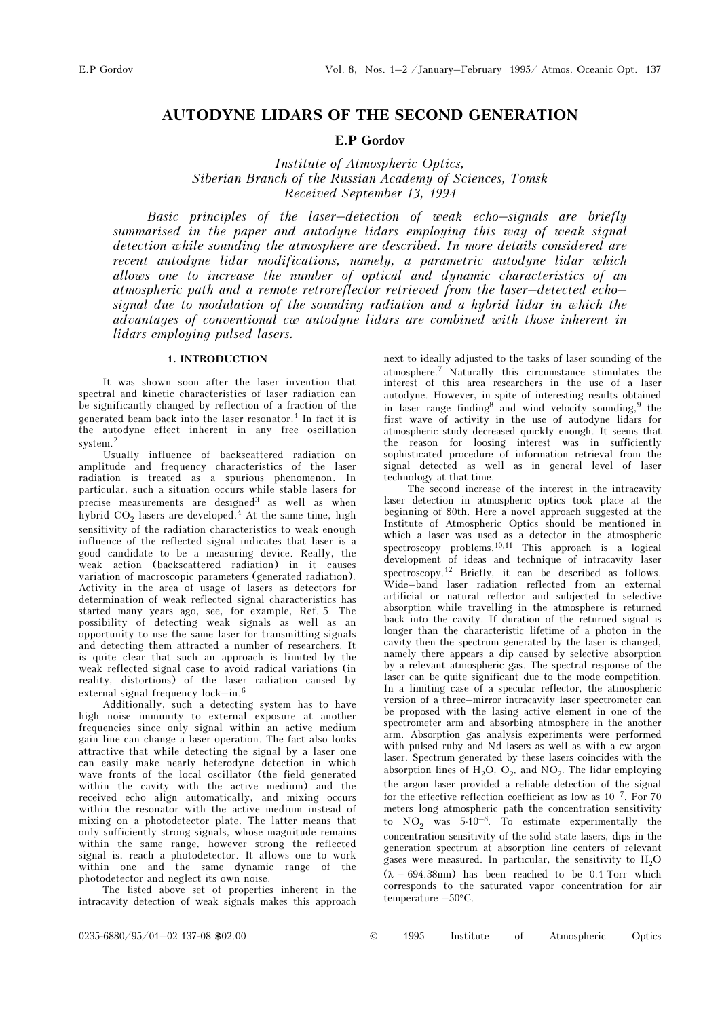## AUTODYNE LIDARS OF THE SECOND GENERATION

E.P Gordov

Institute of Atmospheric Optics, Siberian Branch of the Russian Academy of Sciences, Tomsk Received September 13, 1994

Basic principles of the laser–detection of weak echo–signals are briefly summarised in the paper and autodyne lidars employing this way of weak signal detection while sounding the atmosphere are described. In more details considered are recent autodyne lidar modifications, namely, a parametric autodyne lidar which allows one to increase the number of optical and dynamic characteristics of an atmospheric path and a remote retroreflector retrieved from the laser–detected echo– signal due to modulation of the sounding radiation and a hybrid lidar in which the advantages of conventional cw autodyne lidars are combined with those inherent in lidars employing pulsed lasers.

## 1. INTRODUCTION

It was shown soon after the laser invention that spectral and kinetic characteristics of laser radiation can be significantly changed by reflection of a fraction of the generated beam back into the laser resonator.<sup>1</sup> In fact it is the autodyne effect inherent in any free oscillation system.<sup>2</sup>

Usually influence of backscattered radiation on amplitude and frequency characteristics of the laser radiation is treated as a spurious phenomenon. In particular, such a situation occurs while stable lasers for precise measurements are designed<sup>3</sup> as well as when hybrid  $CO<sub>2</sub>$  lasers are developed.<sup>4</sup> At the same time, high sensitivity of the radiation characteristics to weak enough influence of the reflected signal indicates that laser is a good candidate to be a measuring device. Really, the weak action (backscattered radiation) in it causes variation of macroscopic parameters (generated radiation). Activity in the area of usage of lasers as detectors for determination of weak reflected signal characteristics has started many years ago, see, for example, Ref. 5. The possibility of detecting weak signals as well as an opportunity to use the same laser for transmitting signals and detecting them attracted a number of researchers. It is quite clear that such an approach is limited by the weak reflected signal case to avoid radical variations (in reality, distortions) of the laser radiation caused by external signal frequency lock–in.<sup>6</sup>

Additionally, such a detecting system has to have high noise immunity to external exposure at another frequencies since only signal within an active medium gain line can change a laser operation. The fact also looks attractive that while detecting the signal by a laser one can easily make nearly heterodyne detection in which wave fronts of the local oscillator (the field generated within the cavity with the active medium) and the received echo align automatically, and mixing occurs within the resonator with the active medium instead of mixing on a photodetector plate. The latter means that only sufficiently strong signals, whose magnitude remains within the same range, however strong the reflected signal is, reach a photodetector. It allows one to work within one and the same dynamic range of the photodetector and neglect its own noise.

The listed above set of properties inherent in the intracavity detection of weak signals makes this approach

next to ideally adjusted to the tasks of laser sounding of the atmosphere.7 Naturally this circumstance stimulates the interest of this area researchers in the use of a laser autodyne. However, in spite of interesting results obtained in laser range finding<sup>8</sup> and wind velocity sounding,  $9$  the first wave of activity in the use of autodyne lidars for atmospheric study decreased quickly enough. It seems that the reason for loosing interest was in sufficiently sophisticated procedure of information retrieval from the signal detected as well as in general level of laser technology at that time.

The second increase of the interest in the intracavity laser detection in atmospheric optics took place at the beginning of 80th. Here a novel approach suggested at the Institute of Atmospheric Optics should be mentioned in which a laser was used as a detector in the atmospheric spectroscopy problems.<sup>10,11</sup> This approach is a logical development of ideas and technique of intracavity laser spectroscopy.<sup>12</sup> Briefly, it can be described as follows. Wide–band laser radiation reflected from an external artificial or natural reflector and subjected to selective absorption while travelling in the atmosphere is returned back into the cavity. If duration of the returned signal is longer than the characteristic lifetime of a photon in the cavity then the spectrum generated by the laser is changed, namely there appears a dip caused by selective absorption by a relevant atmospheric gas. The spectral response of the laser can be quite significant due to the mode competition. In a limiting case of a specular reflector, the atmospheric version of a three–mirror intracavity laser spectrometer can be proposed with the lasing active element in one of the spectrometer arm and absorbing atmosphere in the another arm. Absorption gas analysis experiments were performed with pulsed ruby and Nd lasers as well as with a cw argon laser. Spectrum generated by these lasers coincides with the absorption lines of  $H_2O$ ,  $O_2$ , and  $NO_2$ . The lidar employing the argon laser provided a reliable detection of the signal for the effective reflection coefficient as low as  $10^{-7}$ . For 70 meters long atmospheric path the concentration sensitivity to  $NO_2$  was  $5.10^{-8}$ . To estimate experimentally the concentration sensitivity of the solid state lasers, dips in the generation spectrum at absorption line centers of relevant gases were measured. In particular, the sensitivity to  $H_2O$  $(\lambda = 694.38 \text{nm})$  has been reached to be 0.1 Torr which corresponds to the saturated vapor concentration for air temperature –50°C.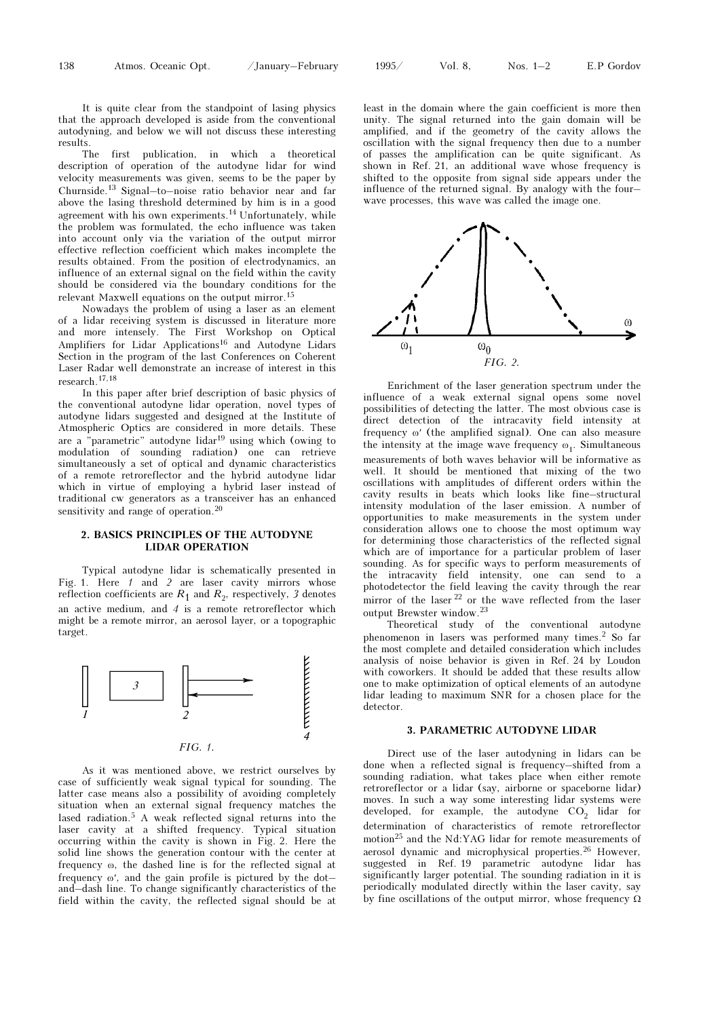It is quite clear from the standpoint of lasing physics that the approach developed is aside from the conventional autodyning, and below we will not discuss these interesting results.

The first publication, in which a theoretical description of operation of the autodyne lidar for wind velocity measurements was given, seems to be the paper by Churnside.13 Signal–to–noise ratio behavior near and far above the lasing threshold determined by him is in a good agreement with his own experiments.14 Unfortunately, while the problem was formulated, the echo influence was taken into account only via the variation of the output mirror effective reflection coefficient which makes incomplete the results obtained. From the position of electrodynamics, an influence of an external signal on the field within the cavity should be considered via the boundary conditions for the relevant Maxwell equations on the output mirror.<sup>15</sup>

Nowadays the problem of using a laser as an element of a lidar receiving system is discussed in literature more and more intensely. The First Workshop on Optical Amplifiers for Lidar Applications<sup>16</sup> and Autodyne Lidars Section in the program of the last Conferences on Coherent Laser Radar well demonstrate an increase of interest in this research.17,18

In this paper after brief description of basic physics of the conventional autodyne lidar operation, novel types of autodyne lidars suggested and designed at the Institute of Atmospheric Optics are considered in more details. These are a "parametric" autodyne lidar<sup>19</sup> using which (owing to modulation of sounding radiation) one can retrieve simultaneously a set of optical and dynamic characteristics of a remote retroreflector and the hybrid autodyne lidar which in virtue of employing a hybrid laser instead of traditional cw generators as a transceiver has an enhanced sensitivity and range of operation.<sup>20</sup>

#### 2. BASICS PRINCIPLES OF THE AUTODYNE LIDAR OPERATION

Typical autodyne lidar is schematically presented in Fig. 1. Here 1 and 2 are laser cavity mirrors whose reflection coefficients are  $R_1$  and  $R_2$ , respectively, 3 denotes an active medium, and 4 is a remote retroreflector which might be a remote mirror, an aerosol layer, or a topographic target.



As it was mentioned above, we restrict ourselves by case of sufficiently weak signal typical for sounding. The latter case means also a possibility of avoiding completely situation when an external signal frequency matches the lased radiation.5 A weak reflected signal returns into the laser cavity at a shifted frequency. Typical situation occurring within the cavity is shown in Fig. 2. Here the solid line shows the generation contour with the center at frequency ω, the dashed line is for the reflected signal at frequency ω′, and the gain profile is pictured by the dot– and–dash line. To change significantly characteristics of the field within the cavity, the reflected signal should be at

least in the domain where the gain coefficient is more then unity. The signal returned into the gain domain will be amplified, and if the geometry of the cavity allows the oscillation with the signal frequency then due to a number of passes the amplification can be quite significant. As shown in Ref. 21, an additional wave whose frequency is shifted to the opposite from signal side appears under the influence of the returned signal. By analogy with the four– wave processes, this wave was called the image one.



Enrichment of the laser generation spectrum under the influence of a weak external signal opens some novel possibilities of detecting the latter. The most obvious case is direct detection of the intracavity field intensity at frequency ω′ (the amplified signal). One can also measure the intensity at the image wave frequency  $\omega_1$ . Simultaneous measurements of both waves behavior will be informative as well. It should be mentioned that mixing of the two oscillations with amplitudes of different orders within the cavity results in beats which looks like fine–structural intensity modulation of the laser emission. A number of opportunities to make measurements in the system under consideration allows one to choose the most optimum way for determining those characteristics of the reflected signal which are of importance for a particular problem of laser sounding. As for specific ways to perform measurements of the intracavity field intensity, one can send to a photodetector the field leaving the cavity through the rear mirror of the laser <sup>22</sup> or the wave reflected from the laser output Brewster window.<sup>23</sup>

Theoretical study of the conventional autodyne phenomenon in lasers was performed many times.<sup>2</sup> So far the most complete and detailed consideration which includes analysis of noise behavior is given in Ref. 24 by Loudon with coworkers. It should be added that these results allow one to make optimization of optical elements of an autodyne lidar leading to maximum SNR for a chosen place for the detector.

#### 3. PARAMETRIC AUTODYNE LIDAR

Direct use of the laser autodyning in lidars can be done when a reflected signal is frequency–shifted from a sounding radiation, what takes place when either remote retroreflector or a lidar (say, airborne or spaceborne lidar) moves. In such a way some interesting lidar systems were developed, for example, the autodyne  $CO<sub>2</sub>$  lidar for determination of characteristics of remote retroreflector motion25 and the Nd:YAG lidar for remote measurements of aerosol dynamic and microphysical properties.<sup>26</sup> However, suggested in Ref. 19 parametric autodyne lidar has significantly larger potential. The sounding radiation in it is periodically modulated directly within the laser cavity, say by fine oscillations of the output mirror, whose frequency Ω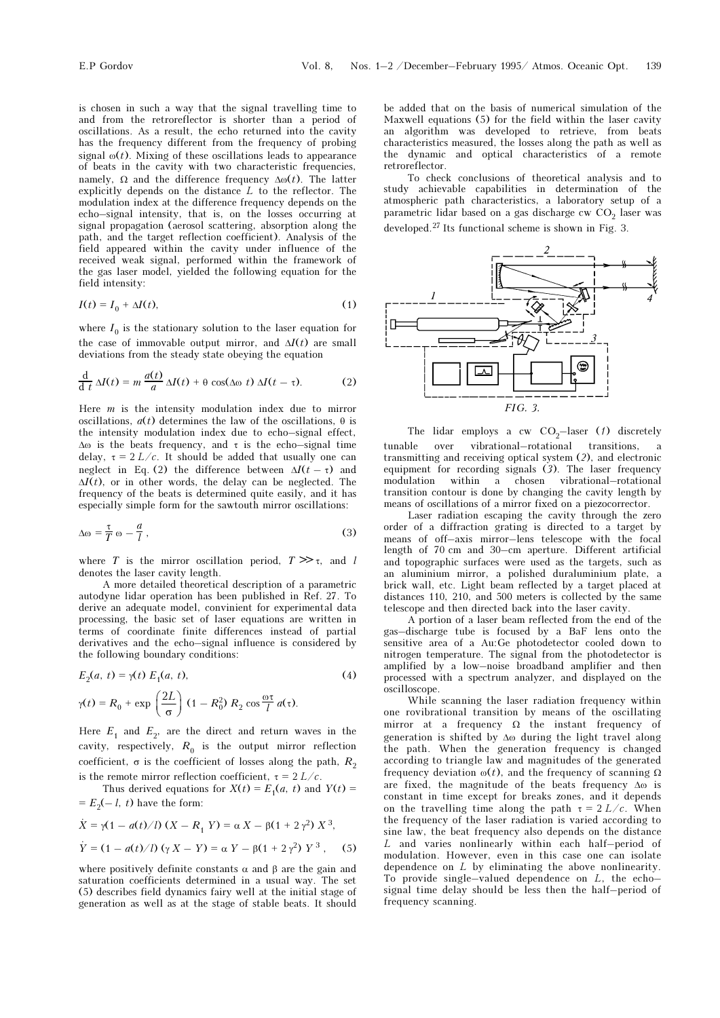is chosen in such a way that the signal travelling time to and from the retroreflector is shorter than a period of oscillations. As a result, the echo returned into the cavity has the frequency different from the frequency of probing signal  $\omega(t)$ . Mixing of these oscillations leads to appearance of beats in the cavity with two characteristic frequencies, namely,  $\Omega$  and the difference frequency  $\Delta\omega(t)$ . The latter explicitly depends on the distance  $L$  to the reflector. The modulation index at the difference frequency depends on the echo–signal intensity, that is, on the losses occurring at signal propagation (aerosol scattering, absorption along the path, and the target reflection coefficient). Analysis of the field appeared within the cavity under influence of the received weak signal, performed within the framework of the gas laser model, yielded the following equation for the field intensity:

$$
I(t) = I_0 + \Delta I(t),\tag{1}
$$

where  $I_0$  is the stationary solution to the laser equation for the case of immovable output mirror, and  $\Delta I(t)$  are small deviations from the steady state obeying the equation

$$
\frac{\mathrm{d}}{\mathrm{d}t}\,\Delta I(t) = m\,\frac{a(t)}{a}\,\Delta I(t) + \theta\,\cos(\Delta\omega\,t)\,\Delta I(t-\tau). \tag{2}
$$

Here  $m$  is the intensity modulation index due to mirror oscillations,  $a(t)$  determines the law of the oscillations,  $\theta$  is the intensity modulation index due to echo–signal effect,  $\Delta\omega$  is the beats frequency, and  $\tau$  is the echo–signal time delay,  $\tau = 2 L/c$ . It should be added that usually one can neglect in Eq. (2) the difference between  $\Delta I(\vec{t} - \tau)$  and  $\Delta I(t)$ , or in other words, the delay can be neglected. The frequency of the beats is determined quite easily, and it has especially simple form for the sawtouth mirror oscillations:

$$
\Delta \omega = \frac{\tau}{T} \omega - \frac{a}{l} \,, \tag{3}
$$

where T is the mirror oscillation period,  $T \gg \tau$ , and l denotes the laser cavity length.

A more detailed theoretical description of a parametric autodyne lidar operation has been published in Ref. 27. To derive an adequate model, convinient for experimental data processing, the basic set of laser equations are written in terms of coordinate finite differences instead of partial derivatives and the echo–signal influence is considered by the following boundary conditions:

$$
E_2(a, t) = \gamma(t) E_1(a, t),
$$
\n
$$
\gamma(t) = R_0 + \exp\left(\frac{2L}{\sigma}\right) (1 - R_0^2) R_2 \cos\frac{\omega\tau}{l} a(\tau).
$$
\n(4)

Here  $E_1$  and  $E_2$ , are the direct and return waves in the cavity, respectively,  $R_0$  is the output mirror reflection coefficient,  $\sigma$  is the coefficient of losses along the path,  $R_2$ is the remote mirror reflection coefficient,  $\tau = 2 L/c$ .

Thus derived equations for  $X(t) = E_1(a, t)$  and  $Y(t) =$  $=E_2(-l, t)$  have the form:

$$
\dot{X} = \gamma (1 - a(t)/l) (X - R_1 Y) = \alpha X - \beta (1 + 2 \gamma^2) X^3,
$$
  
\n
$$
\dot{Y} = (1 - a(t)/l) (\gamma X - Y) = \alpha Y - \beta (1 + 2 \gamma^2) Y^3,
$$
 (5)

where positively definite constants  $\alpha$  and  $\beta$  are the gain and saturation coefficients determined in a usual way. The set (5) describes field dynamics fairy well at the initial stage of generation as well as at the stage of stable beats. It should be added that on the basis of numerical simulation of the Maxwell equations (5) for the field within the laser cavity an algorithm was developed to retrieve, from beats characteristics measured, the losses along the path as well as the dynamic and optical characteristics of a remote retroreflector.

To check conclusions of theoretical analysis and to study achievable capabilities in determination of the atmospheric path characteristics, a laboratory setup of a parametric lidar based on a gas discharge cw CO<sub>2</sub> laser was developed.27 Its functional scheme is shown in Fig. 3.



The lidar employs a cw  $CO<sub>2</sub>$ -laser (1) discretely tunable over vibrational–rotational transitions, transmitting and receiving optical system (2), and electronic equipment for recording signals (3). The laser frequency<br>modulation within a chosen vibrational–rotational a chosen vibrational–rotational transition contour is done by changing the cavity length by means of oscillations of a mirror fixed on a piezocorrector.

Laser radiation escaping the cavity through the zero order of a diffraction grating is directed to a target by means of off–axis mirror–lens telescope with the focal length of 70 cm and 30–cm aperture. Different artificial and topographic surfaces were used as the targets, such as an aluminium mirror, a polished duraluminium plate, a brick wall, etc. Light beam reflected by a target placed at distances 110, 210, and 500 meters is collected by the same telescope and then directed back into the laser cavity.

A portion of a laser beam reflected from the end of the gas–discharge tube is focused by a BaF lens onto the sensitive area of a Au:Ge photodetector cooled down to nitrogen temperature. The signal from the photodetector is amplified by a low–noise broadband amplifier and then processed with a spectrum analyzer, and displayed on the oscilloscope.

While scanning the laser radiation frequency within one rovibrational transition by means of the oscillating mirror at a frequency  $\Omega$  the instant frequency of generation is shifted by Δω during the light travel along the path. When the generation frequency is changed according to triangle law and magnitudes of the generated frequency deviation  $ω(t)$ , and the frequency of scanning  $Ω$ are fixed, the magnitude of the beats frequency Δω is constant in time except for breaks zones, and it depends on the travelling time along the path  $\tau = 2 L/c$ . When the frequency of the laser radiation is varied according to sine law, the beat frequency also depends on the distance L and varies nonlinearly within each half–period of modulation. However, even in this case one can isolate dependence on L by eliminating the above nonlinearity. To provide single–valued dependence on  $L$ , the echo– signal time delay should be less then the half–period of frequency scanning.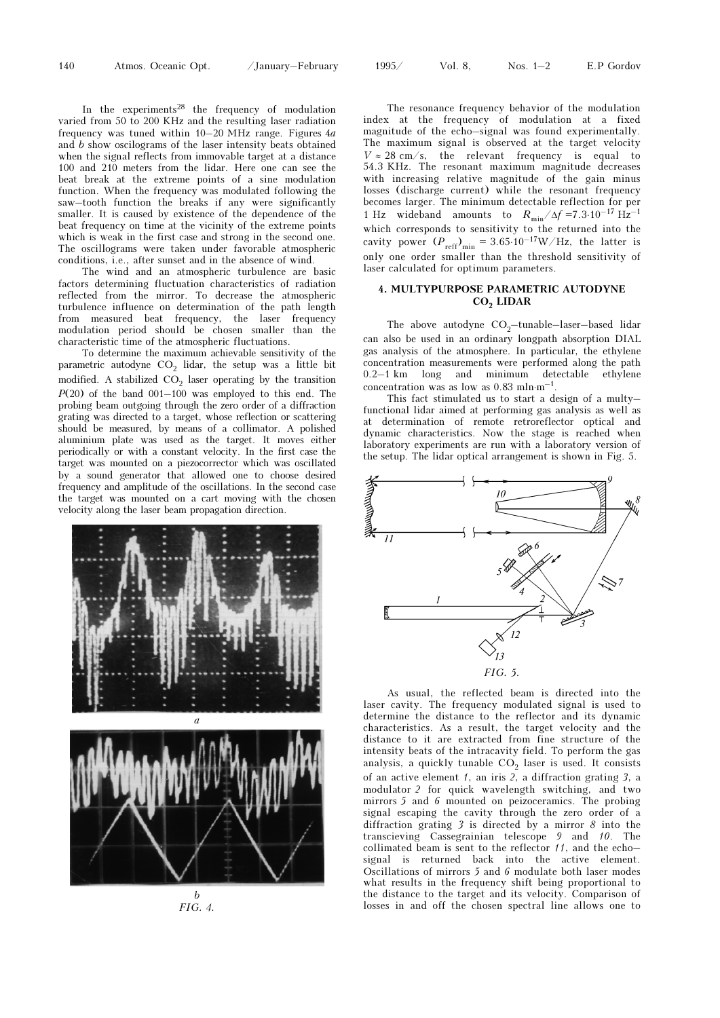140 Atmos. Oceanic Opt. /January–February 1995/ Vol. 8, Nos. 1–2 E.P Gordov

In the experiments<sup>28</sup> the frequency of modulation varied from 50 to 200 KHz and the resulting laser radiation frequency was tuned within  $10-20$  MHz range. Figures  $4a$ and b show oscilograms of the laser intensity beats obtained when the signal reflects from immovable target at a distance 100 and 210 meters from the lidar. Here one can see the beat break at the extreme points of a sine modulation function. When the frequency was modulated following the saw–tooth function the breaks if any were significantly smaller. It is caused by existence of the dependence of the beat frequency on time at the vicinity of the extreme points which is weak in the first case and strong in the second one. The oscillograms were taken under favorable atmospheric conditions, i.e., after sunset and in the absence of wind.

The wind and an atmospheric turbulence are basic factors determining fluctuation characteristics of radiation reflected from the mirror. To decrease the atmospheric turbulence influence on determination of the path length from measured beat frequency, the laser frequency modulation period should be chosen smaller than the characteristic time of the atmospheric fluctuations.

To determine the maximum achievable sensitivity of the parametric autodyne  $CO<sub>2</sub>$  lidar, the setup was a little bit modified. A stabilized  $CO<sub>2</sub>$  laser operating by the transition  $P(20)$  of the band  $001-100$  was employed to this end. The probing beam outgoing through the zero order of a diffraction grating was directed to a target, whose reflection or scattering should be measured, by means of a collimator. A polished aluminium plate was used as the target. It moves either periodically or with a constant velocity. In the first case the target was mounted on a piezocorrector which was oscillated by a sound generator that allowed one to choose desired frequency and amplitude of the oscillations. In the second case the target was mounted on a cart moving with the chosen velocity along the laser beam propagation direction.



FIG. 4.

The resonance frequency behavior of the modulation index at the frequency of modulation at a fixed magnitude of the echo–signal was found experimentally. The maximum signal is observed at the target velocity  $V \approx 28$  cm/s, the relevant frequency is equal to 54.3 KHz. The resonant maximum magnitude decreases with increasing relative magnitude of the gain minus losses (discharge current) while the resonant frequency becomes larger. The minimum detectable reflection for per 1 Hz wideband amounts to  $R_{\text{min}}/\Delta f = 7.3 \cdot 10^{-17} \text{ Hz}^{-1}$ which corresponds to sensitivity to the returned into the cavity power  $(P_{reff})_{\text{min}} = 3.65 \cdot 10^{-17} W / Hz$ , the latter is only one order smaller than the threshold sensitivity of laser calculated for optimum parameters.

### 4. MULTYPURPOSE PARAMETRIC AUTODYNE CO<sub>2</sub> LIDAR

The above autodyne  $CO<sub>2</sub>$ -tunable–laser–based lidar can also be used in an ordinary longpath absorption DIAL gas analysis of the atmosphere. In particular, the ethylene concentration measurements were performed along the path 0.2–1 km long and minimum detectable ethylene concentration was as low as  $0.83 \text{ mln·m}^{-1}$ .

This fact stimulated us to start a design of a multy– functional lidar aimed at performing gas analysis as well as at determination of remote retroreflector optical and dynamic characteristics. Now the stage is reached when laboratory experiments are run with a laboratory version of the setup. The lidar optical arrangement is shown in Fig. 5.



As usual, the reflected beam is directed into the laser cavity. The frequency modulated signal is used to determine the distance to the reflector and its dynamic characteristics. As a result, the target velocity and the distance to it are extracted from fine structure of the intensity beats of the intracavity field. To perform the gas analysis, a quickly tunable  $CO<sub>2</sub>$  laser is used. It consists of an active element  $1$ , an iris  $2$ , a diffraction grating  $3$ , a modulator 2 for quick wavelength switching, and two mirrors 5 and 6 mounted on peizoceramics. The probing signal escaping the cavity through the zero order of a diffraction grating 3 is directed by a mirror 8 into the transcieving Cassegrainian telescope 9 and 10. The collimated beam is sent to the reflector 11, and the echo– signal is returned back into the active element. Oscillations of mirrors 5 and 6 modulate both laser modes what results in the frequency shift being proportional to the distance to the target and its velocity. Comparison of losses in and off the chosen spectral line allows one to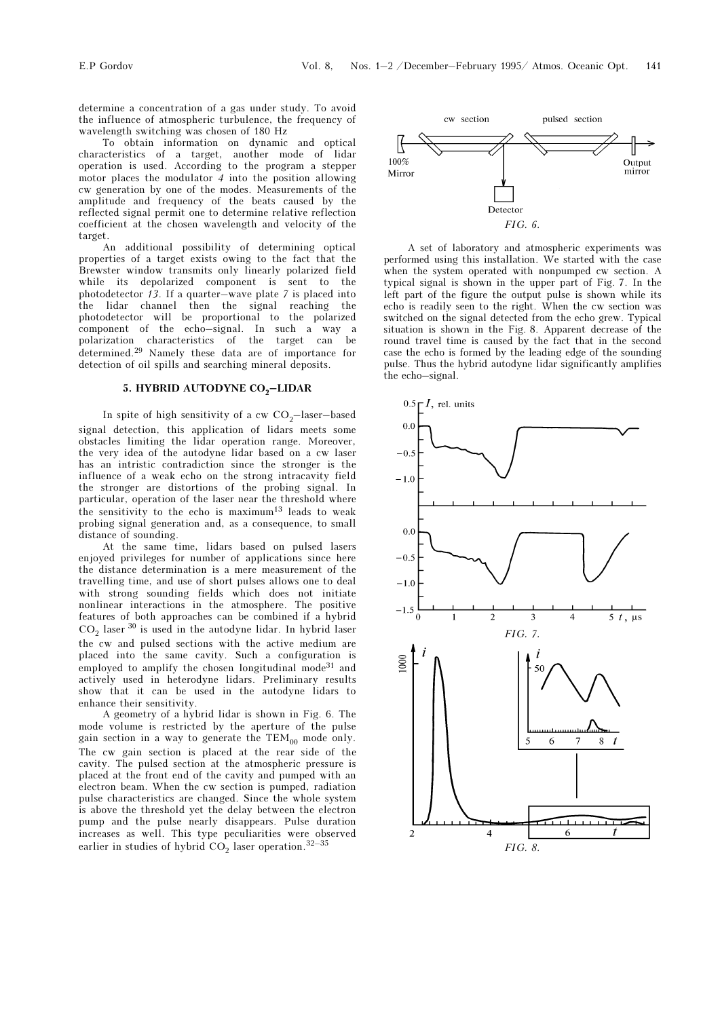determine a concentration of a gas under study. To avoid the influence of atmospheric turbulence, the frequency of wavelength switching was chosen of 180 Hz

To obtain information on dynamic and optical characteristics of a target, another mode of lidar operation is used. According to the program a stepper motor places the modulator  $\overline{4}$  into the position allowing cw generation by one of the modes. Measurements of the amplitude and frequency of the beats caused by the reflected signal permit one to determine relative reflection coefficient at the chosen wavelength and velocity of the target.

An additional possibility of determining optical properties of a target exists owing to the fact that the Brewster window transmits only linearly polarized field while its depolarized component is sent to the photodetector 13. If a quarter–wave plate 7 is placed into the lidar channel then the signal reaching the photodetector will be proportional to the polarized component of the echo–signal. In such a way a polarization characteristics of the target can be determined.29 Namely these data are of importance for detection of oil spills and searching mineral deposits.

# 5. HYBRID AUTODYNE CO<sub>2</sub>-LIDAR

In spite of high sensitivity of a cw  $CO<sub>2</sub>$ -laser–based signal detection, this application of lidars meets some obstacles limiting the lidar operation range. Moreover, the very idea of the autodyne lidar based on a cw laser has an intristic contradiction since the stronger is the influence of a weak echo on the strong intracavity field the stronger are distortions of the probing signal. In particular, operation of the laser near the threshold where the sensitivity to the echo is maximum $13$  leads to weak probing signal generation and, as a consequence, to small distance of sounding.

At the same time, lidars based on pulsed lasers enjoyed privileges for number of applications since here the distance determination is a mere measurement of the travelling time, and use of short pulses allows one to deal with strong sounding fields which does not initiate nonlinear interactions in the atmosphere. The positive features of both approaches can be combined if a hybrid  $CO_2$  laser  $^{30}$  is used in the autodyne lidar. In hybrid laser the cw and pulsed sections with the active medium are placed into the same cavity. Such a configuration is employed to amplify the chosen longitudinal mode<sup>31</sup> and actively used in heterodyne lidars. Preliminary results show that it can be used in the autodyne lidars to enhance their sensitivity.

A geometry of a hybrid lidar is shown in Fig. 6. The mode volume is restricted by the aperture of the pulse gain section in a way to generate the  $TEM_{00}$  mode only. The cw gain section is placed at the rear side of the cavity. The pulsed section at the atmospheric pressure is placed at the front end of the cavity and pumped with an electron beam. When the cw section is pumped, radiation pulse characteristics are changed. Since the whole system is above the threshold yet the delay between the electron pump and the pulse nearly disappears. Pulse duration increases as well. This type peculiarities were observed earlier in studies of hybrid  $CO<sub>2</sub>$  laser operation.<sup>32-35</sup>



A set of laboratory and atmospheric experiments was performed using this installation. We started with the case when the system operated with nonpumped cw section. A typical signal is shown in the upper part of Fig. 7. In the left part of the figure the output pulse is shown while its echo is readily seen to the right. When the cw section was switched on the signal detected from the echo grew. Typical situation is shown in the Fig. 8. Apparent decrease of the round travel time is caused by the fact that in the second case the echo is formed by the leading edge of the sounding pulse. Thus the hybrid autodyne lidar significantly amplifies the echo–signal.

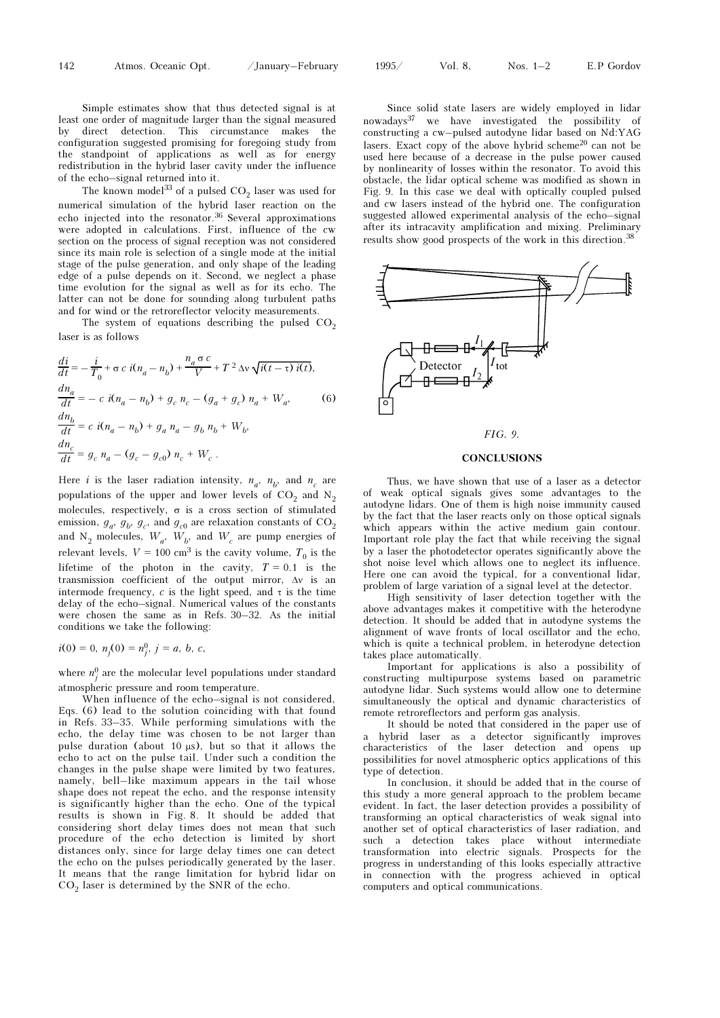142 Atmos. Oceanic Opt. /January–February 1995/ Vol. 8, Nos. 1–2 E.P Gordov

Simple estimates show that thus detected signal is at least one order of magnitude larger than the signal measured direct detection. This circumstance makes the configuration suggested promising for foregoing study from the standpoint  $\overrightarrow{0}$  applications as well as for energy redistribution in the hybrid laser cavity under the influence of the echo–signal returned into it.

The known model<sup>33</sup> of a pulsed  $CO<sub>2</sub>$  laser was used for numerical simulation of the hybrid laser reaction on the echo injected into the resonator.36 Several approximations were adopted in calculations. First, influence of the cw section on the process of signal reception was not considered since its main role is selection of a single mode at the initial stage of the pulse generation, and only shape of the leading edge of a pulse depends on it. Second, we neglect a phase time evolution for the signal as well as for its echo. The latter can not be done for sounding along turbulent paths and for wind or the retroreflector velocity measurements.

The system of equations describing the pulsed  $CO<sub>2</sub>$ laser is as follows

$$
\frac{di}{dt} = -\frac{i}{T_0} + \sigma c \, i(n_a - n_b) + \frac{n_a \sigma c}{V} + T^2 \Delta v \sqrt{i(t - \tau)} \, i(t),
$$
\n
$$
\frac{dn_a}{dt} = -c \, i(n_a - n_b) + g_c \, n_c - (g_a + g_c) \, n_a + W_a,
$$
\n
$$
\frac{dn_b}{dt} = c \, i(n_a - n_b) + g_a \, n_a - g_b \, n_b + W_b,
$$
\n
$$
\frac{dn_c}{dt} = g_c \, n_a - (g_c - g_{c0}) \, n_c + W_c.
$$
\n(6)

Here *i* is the laser radiation intensity,  $n_a$ ,  $n_b$ , and  $n_c$  are populations of the upper and lower levels of  $CO<sub>2</sub>$  and N<sub>2</sub> molecules, respectively,  $\sigma$  is a cross section of stimulated emission,  $g_a$ ,  $g_b$ ,  $g_c$ , and  $g_{c0}$  are relaxation constants of CO<sub>2</sub> and  $N_2$  molecules,  $W_a$ ,  $W_b$ , and  $W_c$  are pump energies of relevant levels,  $V = 100 \text{ cm}^3$  is the cavity volume,  $T_0$  is the lifetime of the photon in the cavity,  $T = 0.1$  is the transmission coefficient of the output mirror, Δν is an intermode frequency, c is the light speed, and  $\tau$  is the time delay of the echo–signal. Numerical values of the constants were chosen the same as in Refs. 30–32. As the initial conditions we take the following:

$$
i(0) = 0, n_j(0) = n_j^0, j = a, b, c,
$$

where  $n_j^0$  are the molecular level populations under standard atmospheric pressure and room temperature.

When influence of the echo–signal is not considered, Eqs. (6) lead to the solution coinciding with that found in Refs. 33–35. While performing simulations with the echo, the delay time was chosen to be not larger than pulse duration (about 10 μs), but so that it allows the echo to act on the pulse tail. Under such a condition the changes in the pulse shape were limited by two features, namely, bell–like maximum appears in the tail whose shape does not repeat the echo, and the response intensity is significantly higher than the echo. One of the typical results is shown in Fig. 8. It should be added that considering short delay times does not mean that such procedure of the echo detection is limited by short distances only, since for large delay times one can detect the echo on the pulses periodically generated by the laser. It means that the range limitation for hybrid lidar on  $CO<sub>2</sub>$  laser is determined by the SNR of the echo.

Since solid state lasers are widely employed in lidar nowadays37 we have investigated the possibility of constructing a cw–pulsed autodyne lidar based on Nd:YAG lasers. Exact copy of the above hybrid scheme<sup>20</sup> can not be used here because of a decrease in the pulse power caused by nonlinearity of losses within the resonator. To avoid this obstacle, the lidar optical scheme was modified as shown in Fig. 9. In this case we deal with optically coupled pulsed and cw lasers instead of the hybrid one. The configuration suggested allowed experimental analysis of the echo–signal after its intracavity amplification and mixing. Preliminary results show good prospects of the work in this direction.<sup>38</sup>



### FIG. 9.

#### **CONCLUSIONS**

Thus, we have shown that use of a laser as a detector of weak optical signals gives some advantages to the autodyne lidars. One of them is high noise immunity caused by the fact that the laser reacts only on those optical signals which appears within the active medium gain contour. Important role play the fact that while receiving the signal by a laser the photodetector operates significantly above the shot noise level which allows one to neglect its influence. Here one can avoid the typical, for a conventional lidar, problem of large variation of a signal level at the detector.

High sensitivity of laser detection together with the above advantages makes it competitive with the heterodyne detection. It should be added that in autodyne systems the alignment of wave fronts of local oscillator and the echo, which is quite a technical problem, in heterodyne detection takes place automatically.

Important for applications is also a possibility of constructing multipurpose systems based on parametric autodyne lidar. Such systems would allow one to determine simultaneously the optical and dynamic characteristics of remote retroreflectors and perform gas analysis.

It should be noted that considered in the paper use of a hybrid laser as a detector significantly improves characteristics of the laser detection and opens up possibilities for novel atmospheric optics applications of this type of detection.

In conclusion, it should be added that in the course of this study a more general approach to the problem became evident. In fact, the laser detection provides a possibility of transforming an optical characteristics of weak signal into another set of optical characteristics of laser radiation, and such a detection takes place without intermediate transformation into electric signals. Prospects for the progress in understanding of this looks especially attractive in connection with the progress achieved in optical computers and optical communications.